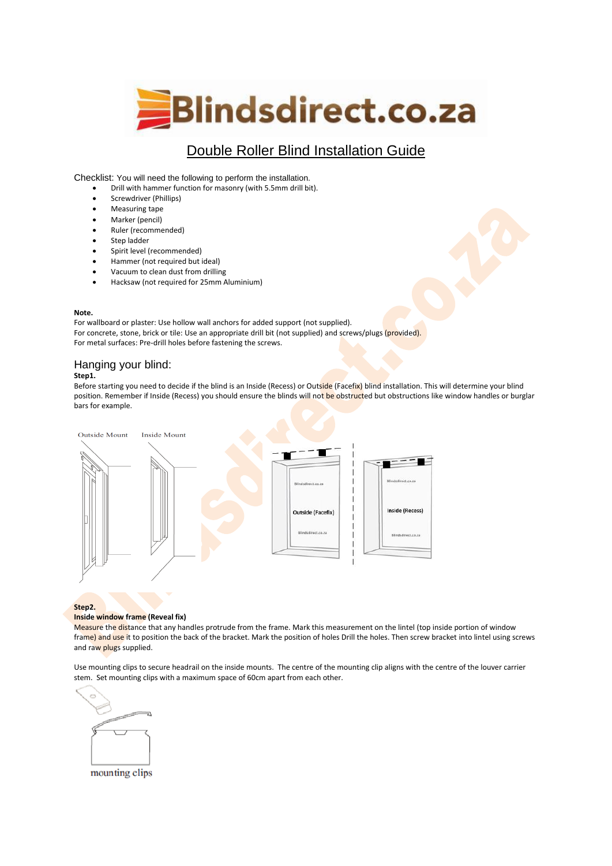

# Double Roller Blind Installation Guide

Checklist: You will need the following to perform the installation.

- Drill with hammer function for masonry (with 5.5mm drill bit).
- Screwdriver (Phillips)
- Measuring tape
- Marker (pencil)
- Ruler (recommended)
- Step ladder
- Spirit level (recommended)
- Hammer (not required but ideal)
- Vacuum to clean dust from drilling
- Hacksaw (not required for 25mm Aluminium)

#### **Note.**

For wallboard or plaster: Use hollow wall anchors for added support (not supplied). For concrete, stone, brick or tile: Use an appropriate drill bit (not supplied) and screws/plugs (provided). For metal surfaces: Pre-drill holes before fastening the screws.

# Hanging your blind:

## **Step1.**

Before starting you need to decide if the blind is an Inside (Recess) or Outside (Facefix) blind installation. This will determine your blind position. Remember if Inside (Recess) you should ensure the blinds will not be obstructed but obstructions like window handles or burglar bars for example.



#### **Step2.**

#### **Inside window frame (Reveal fix)**

Measure the distance that any handles protrude from the frame. Mark this measurement on the lintel (top inside portion of window frame) and use it to position the back of the bracket. Mark the position of holes Drill the holes. Then screw bracket into lintel using screws and raw plugs supplied.

Use mounting clips to secure headrail on the inside mounts. The centre of the mounting clip aligns with the centre of the louver carrier stem. Set mounting clips with a maximum space of 60cm apart from each other.



mounting clips